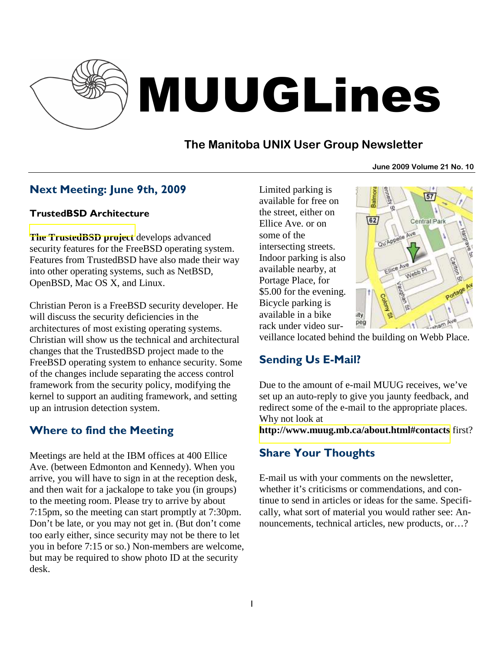

# MUUGLines

# **The Manitoba UNIX User Group Newsletter**

**June 2009 Volume 21 No. 10**

# Next Meeting: June 9th, 2009

#### TrustedBSD Architecture

**[The TrustedBSD project](http://www.trustedbsd.org/)** develops advanced security features for the FreeBSD operating system. Features from TrustedBSD have also made their way into other operating systems, such as NetBSD, OpenBSD, Mac OS X, and Linux.

Christian Peron is a FreeBSD security developer. He will discuss the security deficiencies in the architectures of most existing operating systems. Christian will show us the technical and architectural changes that the TrustedBSD project made to the FreeBSD operating system to enhance security. Some of the changes include separating the access control framework from the security policy, modifying the kernel to support an auditing framework, and setting up an intrusion detection system.

# Where to find the Meeting

Meetings are held at the IBM offices at 400 Ellice Ave. (between Edmonton and Kennedy). When you arrive, you will have to sign in at the reception desk, and then wait for a jackalope to take you (in groups) to the meeting room. Please try to arrive by about 7:15pm, so the meeting can start promptly at 7:30pm. Don't be late, or you may not get in. (But don't come too early either, since security may not be there to let you in before 7:15 or so.) Non-members are welcome, but may be required to show photo ID at the security desk.

Limited parking is available for free on the street, either on Ellice Ave. or on some of the intersecting streets. Indoor parking is also available nearby, at Portage Place, for \$5.00 for the evening. Bicycle parking is available in a bike rack under video sur-



veillance located behind the building on Webb Place.

# Sending Us E-Mail?

Due to the amount of e-mail MUUG receives, we've set up an auto-reply to give you jaunty feedback, and redirect some of the e-mail to the appropriate places. Why not look at

**[http://www.muug.mb.ca/about.html#contacts](http://www.muug.mb.ca/about.html%23contacts)** first?

# Share Your Thoughts

E-mail us with your comments on the newsletter, whether it's criticisms or commendations, and continue to send in articles or ideas for the same. Specifically, what sort of material you would rather see: Announcements, technical articles, new products, or…?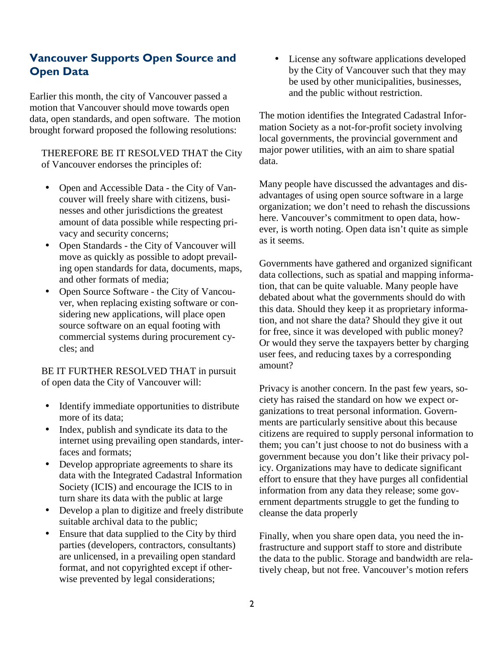## Vancouver Supports Open Source and Open Data

Earlier this month, the city of Vancouver passed a motion that Vancouver should move towards open data, open standards, and open software. The motion brought forward proposed the following resolutions:

THEREFORE BE IT RESOLVED THAT the City of Vancouver endorses the principles of:

- Open and Accessible Data the City of Vancouver will freely share with citizens, businesses and other jurisdictions the greatest amount of data possible while respecting privacy and security concerns;
- Open Standards the City of Vancouver will move as quickly as possible to adopt prevailing open standards for data, documents, maps, and other formats of media;
- Open Source Software the City of Vancouver, when replacing existing software or considering new applications, will place open source software on an equal footing with commercial systems during procurement cycles; and

BE IT FURTHER RESOLVED THAT in pursuit of open data the City of Vancouver will:

- Identify immediate opportunities to distribute more of its data;
- Index, publish and syndicate its data to the internet using prevailing open standards, interfaces and formats;
- Develop appropriate agreements to share its data with the Integrated Cadastral Information Society (ICIS) and encourage the ICIS to in turn share its data with the public at large
- Develop a plan to digitize and freely distribute suitable archival data to the public;
- Ensure that data supplied to the City by third parties (developers, contractors, consultants) are unlicensed, in a prevailing open standard format, and not copyrighted except if otherwise prevented by legal considerations;

License any software applications developed by the City of Vancouver such that they may be used by other municipalities, businesses, and the public without restriction.

The motion identifies the Integrated Cadastral Information Society as a not-for-profit society involving local governments, the provincial government and major power utilities, with an aim to share spatial data.

Many people have discussed the advantages and disadvantages of using open source software in a large organization; we don't need to rehash the discussions here. Vancouver's commitment to open data, however, is worth noting. Open data isn't quite as simple as it seems.

Governments have gathered and organized significant data collections, such as spatial and mapping information, that can be quite valuable. Many people have debated about what the governments should do with this data. Should they keep it as proprietary information, and not share the data? Should they give it out for free, since it was developed with public money? Or would they serve the taxpayers better by charging user fees, and reducing taxes by a corresponding amount?

Privacy is another concern. In the past few years, society has raised the standard on how we expect organizations to treat personal information. Governments are particularly sensitive about this because citizens are required to supply personal information to them; you can't just choose to not do business with a government because you don't like their privacy policy. Organizations may have to dedicate significant effort to ensure that they have purges all confidential information from any data they release; some government departments struggle to get the funding to cleanse the data properly

Finally, when you share open data, you need the infrastructure and support staff to store and distribute the data to the public. Storage and bandwidth are relatively cheap, but not free. Vancouver's motion refers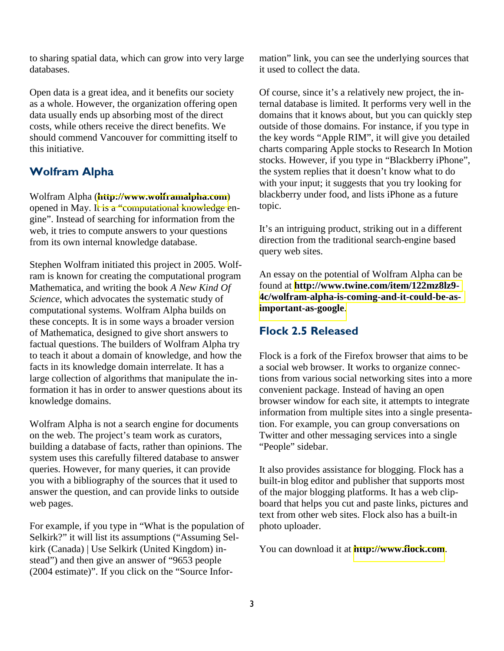to sharing spatial data, which can grow into very large databases.

Open data is a great idea, and it benefits our society as a whole. However, the organization offering open data usually ends up absorbing most of the direct costs, while others receive the direct benefits. We should commend Vancouver for committing itself to this initiative.

## Wolfram Alpha

Wolfram Alpha (**[http://www.wolframalpha.com](http://www.wolframalpha.com/)**) opened in May. It is a "computational knowledge engine". Instead of searching for information from the web, it tries to compute answers to your questions from its own internal knowledge database.

Stephen Wolfram initiated this project in 2005. Wolfram is known for creating the computational program Mathematica, and writing the book *A New Kind Of Science*, which advocates the systematic study of computational systems. Wolfram Alpha builds on these concepts. It is in some ways a broader version of Mathematica, designed to give short answers to factual questions. The builders of Wolfram Alpha try to teach it about a domain of knowledge, and how the facts in its knowledge domain interrelate. It has a large collection of algorithms that manipulate the information it has in order to answer questions about its knowledge domains.

Wolfram Alpha is not a search engine for documents on the web. The project's team work as curators, building a database of facts, rather than opinions. The system uses this carefully filtered database to answer queries. However, for many queries, it can provide you with a bibliography of the sources that it used to answer the question, and can provide links to outside web pages.

For example, if you type in "What is the population of Selkirk?" it will list its assumptions ("Assuming Selkirk (Canada) | Use Selkirk (United Kingdom) instead") and then give an answer of "9653 people (2004 estimate)". If you click on the "Source Information" link, you can see the underlying sources that it used to collect the data.

Of course, since it's a relatively new project, the internal database is limited. It performs very well in the domains that it knows about, but you can quickly step outside of those domains. For instance, if you type in the key words "Apple RIM", it will give you detailed charts comparing Apple stocks to Research In Motion stocks. However, if you type in "Blackberry iPhone", the system replies that it doesn't know what to do with your input; it suggests that you try looking for blackberry under food, and lists iPhone as a future topic.

It's an intriguing product, striking out in a different direction from the traditional search-engine based query web sites.

An essay on the potential of Wolfram Alpha can be found at **[http://www.twine.com/item/122mz8lz9-](http://www.twine.com/item/122mz8lz9-4c/wolfram-alpha-is-coming-and-it-could-be-as-important-as-google) [4c/wolfram-alpha-is-coming-and-it-could-be-as](http://www.twine.com/item/122mz8lz9-4c/wolfram-alpha-is-coming-and-it-could-be-as-important-as-google)[important-as-google](http://www.twine.com/item/122mz8lz9-4c/wolfram-alpha-is-coming-and-it-could-be-as-important-as-google)**.

## Flock 2.5 Released

Flock is a fork of the Firefox browser that aims to be a social web browser. It works to organize connections from various social networking sites into a more convenient package. Instead of having an open browser window for each site, it attempts to integrate information from multiple sites into a single presentation. For example, you can group conversations on Twitter and other messaging services into a single "People" sidebar.

It also provides assistance for blogging. Flock has a built-in blog editor and publisher that supports most of the major blogging platforms. It has a web clipboard that helps you cut and paste links, pictures and text from other web sites. Flock also has a built-in photo uploader.

You can download it at **[http://www.flock.com](http://www.flock.com/)**.